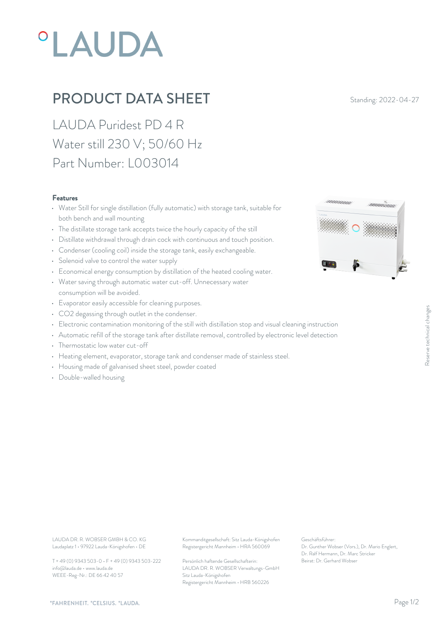# **°LAUDA**

## PRODUCT DATA SHEET Standing: 2022-04-27

LAUDA Puridest PD 4 R Water still 230 V; 50/60 Hz Part Number: L003014

#### Features

- Water Still for single distillation (fully automatic) with storage tank, suitable for both bench and wall mounting
- The distillate storage tank accepts twice the hourly capacity of the still
- Distillate withdrawal through drain cock with continuous and touch position.
- Condenser (cooling coil) inside the storage tank, easily exchangeable.
- Solenoid valve to control the water supply
- Economical energy consumption by distillation of the heated cooling water.
- Water saving through automatic water cut-off. Unnecessary water consumption will be avoided.
- Evaporator easily accessible for cleaning purposes.
- CO2 degassing through outlet in the condenser.
- CO2 degassing through outlet in the condenser.<br>• Electronic contamination monitoring of the still with distillation stop and visual cleaning instruction<br>• Automatic refill of the storage tank after distillate removal, co
- Automatic refill of the storage tank after distillate removal, controlled by electronic level detection
- Thermostatic low water cut-off
- Heating element, evaporator, storage tank and condenser made of stainless steel.
- Housing made of galvanised sheet steel, powder coated
- Double-walled housing



Laudaplatz 1 • 97922 Lauda-Königshofen • DE

T + 49 (0) 9343 503-0 • F + 49 (0) 9343 503-222 info@lauda.de • www.lauda.de WEEE-Reg-Nr.: DE 66 42 40 57

LAUDA DR. R. WOBSER GMBH & CO. KG Kommanditgesellschaft: Sitz Lauda-Königshofen Geschäftsführer: Registergericht Mannheim • HRA 560069

> Persönlich haftende Gesellschafterin: Beirat: Dr. Gerhard Wobse LAUDA DR. R. WOBSER Verwaltungs-GmbH Sitz Lauda-Königshofen Registergericht Mannheim • HRB 560226

Geschäftsführer: Dr. Gunther Wobser (Vors.), Dr. Mario Englert, Dr. Ralf Hermann, Dr. Marc Stricker Beinstruction<br>
Well detection<br>
Dr. Gunther Wobser (Vors.), Dr. Mario Englert,<br>
Dr. Gerhard Wobser<br>
Dr. Relf Hermann, Dr. Marc Stricker<br>
Beirat: Dr. Gerhard Wobser